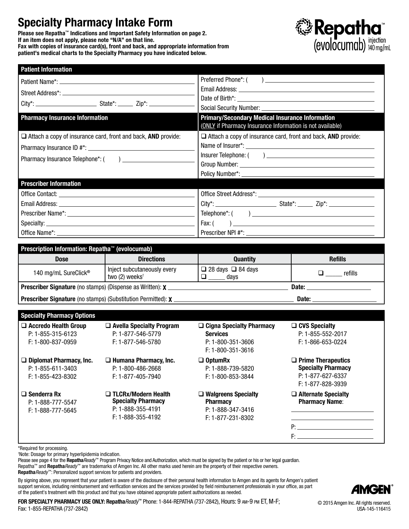# Specialty Pharmacy Intake Form

Please see Repatha™ Indications and Important Safety Information on page 2. If an item does not apply, please note "N/A" on that line. Fax with copies of insurance card(s), front and back, and appropriate information from patient's medical charts to the Specialty Pharmacy you have indicated below.



| Prescription Information: Repatha™ (evolocumab)                      |  |                                                                      |  |  |
|----------------------------------------------------------------------|--|----------------------------------------------------------------------|--|--|
|                                                                      |  |                                                                      |  |  |
|                                                                      |  |                                                                      |  |  |
|                                                                      |  |                                                                      |  |  |
|                                                                      |  |                                                                      |  |  |
|                                                                      |  |                                                                      |  |  |
|                                                                      |  |                                                                      |  |  |
| <b>Prescriber Information</b>                                        |  |                                                                      |  |  |
|                                                                      |  |                                                                      |  |  |
|                                                                      |  |                                                                      |  |  |
|                                                                      |  |                                                                      |  |  |
|                                                                      |  |                                                                      |  |  |
| $\Box$ Attach a copy of insurance card, front and back, AND provide: |  | $\Box$ Attach a copy of insurance card, front and back, AND provide: |  |  |
|                                                                      |  | (ONLY if Pharmacy Insurance Information is not available)            |  |  |
| <b>Pharmacy Insurance Information</b>                                |  | <b>Primary/Secondary Medical Insurance Information</b>               |  |  |
|                                                                      |  |                                                                      |  |  |
|                                                                      |  |                                                                      |  |  |
|                                                                      |  |                                                                      |  |  |
| <b>Patient Information</b>                                           |  |                                                                      |  |  |

| <b>Troportpuon information: hopatha</b> ( <b>ovolooanida</b> )          |                                                           |                                       |                |  |
|-------------------------------------------------------------------------|-----------------------------------------------------------|---------------------------------------|----------------|--|
| <b>Dose</b>                                                             | <b>Directions</b>                                         | <b>Quantity</b>                       | <b>Refills</b> |  |
| 140 mg/mL SureClick <sup>®</sup>                                        | Inject subcutaneously every<br>two (2) weeks <sup>t</sup> | $\Box$ 28 days $\Box$ 84 days<br>davs | refills        |  |
| <b>Prescriber Signature</b> (no stamps) (Dispense as Written): <b>X</b> |                                                           |                                       | Date:          |  |
| <b>Prescriber Signature</b> (no stamps) (Substitution Permitted): X     |                                                           |                                       | Date:          |  |

Specialty Pharmacy Options

□ Accredo Health Group P: 1-855-315-6123 F: 1-800-837-0959

 $\Box$  Diplomat Pharmacy, Inc. P: 1-855-611-3403 F: 1-855-423-8302

 $\square$  Senderra Rx P: 1-888-777-5547 F: 1-888-777-5645

 $\Box$  Avella Specialty Program P: 1-877-546-5779 F: 1-877-546-5780

 $\Box$  Humana Pharmacy, Inc. P: 1-800-486-2668 F: 1-877-405-7940

□ TLCRx/Modern Health

Specialty Pharmacy P: 1-888-355-4191 F: 1-888-355-4192

#### □ Cigna Specialty Pharmacy Services P: 1-800-351-3606 F: 1-800-351-3616 □ OptumRx

P: 1-888-739-5820 F: 1-800-853-3844

□ Walgreens Specialty **Pharmacy** P: 1-888-347-3416 F: 1-877-231-8302

#### $\square$  CVS Specialty P: 1-855-552-2017 F: 1-866-653-0224

 $\square$  Prime Therapeutics Specialty Pharmacy P: 1-877-627-6337 F: 1-877-828-3939

 $\Box$  Alternate Specialty Pharmacy Name:

P: F:

\*Required for processing.

† Note: Dosage for primary hyperlipidemia indication.

Please see page 4 for the Repatha*Ready*™ Program Privacy Notice and Authorization, which must be signed by the patient or his or her legal quardian. Repatha™ and Repatha*Ready*™ are trademarks of Amgen Inc. All other marks used herein are the property of their respective owners. Repatha*Ready*™: Personalized support services for patients and providers.

By signing above, you represent that your patient is aware of the disclosure of their personal health information to Amgen and its agents for Amgen's patient support services, including reimbursement and verification services and the services provided by field reimbursement professionals in your office, as part of the patient's treatment with this product and that you have obtained appropriate patient authorizations as needed.



FOR SPECIALTY PHARMACY USE ONLY: Repatha*Ready*™ Phone: 1-844-REPATHA (737-2842), Hours: 9 am-9 pm ET, M-F; Fax: 1-855-REPATHA (737-2842)

© 2015 Amgen Inc. All rights reserved. USA-145-116415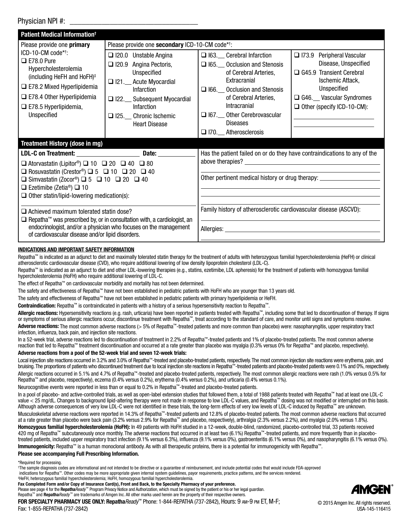#### Physician NPI #:

| Patient Medical Information <sup>t</sup>                                                                                                                                                                                                                                                                                                                                                                                                                                                                                                                                                                                   |                                                                                                                                                                                                                                                                                                                                                                                                                                                                                                                                                                                                                                                                                                                                                                                                                                                                                                                                                                                                                                                                                                                                                                                                                            |                                                                                                                                                                                                                                                                                      |                                                                                                                                                                                                          |  |  |
|----------------------------------------------------------------------------------------------------------------------------------------------------------------------------------------------------------------------------------------------------------------------------------------------------------------------------------------------------------------------------------------------------------------------------------------------------------------------------------------------------------------------------------------------------------------------------------------------------------------------------|----------------------------------------------------------------------------------------------------------------------------------------------------------------------------------------------------------------------------------------------------------------------------------------------------------------------------------------------------------------------------------------------------------------------------------------------------------------------------------------------------------------------------------------------------------------------------------------------------------------------------------------------------------------------------------------------------------------------------------------------------------------------------------------------------------------------------------------------------------------------------------------------------------------------------------------------------------------------------------------------------------------------------------------------------------------------------------------------------------------------------------------------------------------------------------------------------------------------------|--------------------------------------------------------------------------------------------------------------------------------------------------------------------------------------------------------------------------------------------------------------------------------------|----------------------------------------------------------------------------------------------------------------------------------------------------------------------------------------------------------|--|--|
| Please provide one primary                                                                                                                                                                                                                                                                                                                                                                                                                                                                                                                                                                                                 | Please provide one secondary ICD-10-CM code* <sup>+</sup> :                                                                                                                                                                                                                                                                                                                                                                                                                                                                                                                                                                                                                                                                                                                                                                                                                                                                                                                                                                                                                                                                                                                                                                |                                                                                                                                                                                                                                                                                      |                                                                                                                                                                                                          |  |  |
| ICD-10-CM code* <sup>†</sup> :<br>$\Box$ E78.0 Pure<br>Hypercholesterolemia<br>(including HeFH and HoFH) <sup>‡</sup><br>$\square$ E78.2 Mixed Hyperlipidemia<br>$\square$ E78.4 Other Hyperlipidemia<br>$\Box$ E78.5 Hyperlipidemia,<br>Unspecified                                                                                                                                                                                                                                                                                                                                                                       | $\Box$ 120.0 Unstable Angina<br>$\Box$ 120.9 Angina Pectoris,<br>Unspecified<br>□ I21.__ Acute Myocardial<br>Infarction<br>□ I22.__ Subsequent Myocardial<br>Infarction<br>□ I25. Chronic Ischemic<br><b>Heart Disease</b>                                                                                                                                                                                                                                                                                                                                                                                                                                                                                                                                                                                                                                                                                                                                                                                                                                                                                                                                                                                                 | □ I63. Cerebral Infarction<br>$\Box$ 165. Occlusion and Stenosis<br>of Cerebral Arteries,<br>Extracranial<br>$\Box$ I66. Occlusion and Stenosis<br>of Cerebral Arteries,<br><b>Intracranial</b><br>□ I67. __ Other Cerebrovascular<br><b>Diseases</b><br>$\Box$ 170. Atherosclerosis | □ 173.9 Peripheral Vascular<br>Disease, Unspecified<br>$\Box$ G45.9 Transient Cerebral<br>Ischemic Attack.<br>Unspecified<br>G46. Vascular Syndromes<br>$\Box$ Other (specify ICD-10-CM):                |  |  |
| <b>Treatment History (dose in mg)</b>                                                                                                                                                                                                                                                                                                                                                                                                                                                                                                                                                                                      |                                                                                                                                                                                                                                                                                                                                                                                                                                                                                                                                                                                                                                                                                                                                                                                                                                                                                                                                                                                                                                                                                                                                                                                                                            |                                                                                                                                                                                                                                                                                      |                                                                                                                                                                                                          |  |  |
| LDL-C on Treatment: Date:<br>$\Box$ Atorvastatin (Lipitor <sup>®</sup> ) $\Box$ 10 $\Box$ 20 $\Box$ 40 $\Box$ 80<br>□ Rosuvastatin (Crestor <sup>®</sup> ) □ 5 □ 10 □ 20 □ 40<br>□ Simvastatin (Zocor <sup>®</sup> ) □ 5 □ 10 □ 20 □ 40<br>$\Box$ Ezetimibe (Zetia <sup>®</sup> ) $\Box$ 10<br>$\Box$ Other statin/lipid-lowering medication(s):<br>$\Box$ Achieved maximum tolerated statin dose?<br>$\Box$ Repatha <sup>™</sup> was prescribed by, or in consultation with, a cardiologist, an<br>endocrinologist, and/or a physician who focuses on the management<br>of cardiovascular disease and/or lipid disorders. |                                                                                                                                                                                                                                                                                                                                                                                                                                                                                                                                                                                                                                                                                                                                                                                                                                                                                                                                                                                                                                                                                                                                                                                                                            | Has the patient failed on or do they have contraindications to any of the<br>Other pertinent medical history or drug therapy:<br>Family history of atherosclerotic cardiovascular disease (ASCVD):                                                                                   |                                                                                                                                                                                                          |  |  |
| INDICATIONS AND IMPORTANT SAFETY INFORMATION<br>hypercholesterolemia (HoFH) who require additional lowering of LDL-C.                                                                                                                                                                                                                                                                                                                                                                                                                                                                                                      | Repatha™ is indicated as an adjunct to diet and maximally tolerated statin therapy for the treatment of adults with heterozygous familial hypercholesterolemia (HeFH) or clinical<br>atherosclerotic cardiovascular disease (CVD), who require additional lowering of low density lipoprotein cholesterol (LDL-C).<br>Repatha™ is indicated as an adjunct to diet and other LDL-lowering therapies (e.g., statins, ezetimibe, LDL apheresis) for the treatment of patients with homozygous familial<br>The effect of Repatha™ on cardiovascular morbidity and mortality has not been determined.<br>The safety and effectiveness of Repatha <sup>™</sup> have not been established in pediatric patients with HoFH who are younger than 13 years old.<br>The safety and effectiveness of Repatha™ have not been established in pediatric patients with primary hyperlipidemia or HeFH.<br><b>Contraindication:</b> Repatha <sup>™</sup> is contraindicated in patients with a history of a serious hypersensitivity reaction to Repatha <sup>™</sup> .<br>ang af aariang allargia raadigaa agam digaantinya tradmant with Dangtha <sup>m</sup> tradt agamding to the otopdard of agree and manitar witi giang and gymphone |                                                                                                                                                                                                                                                                                      | Allergic reactions: Hypersensitivity reactions (e.g. rash, urticaria) have been reported in patients treated with Repatha <sup>™</sup> , including some that led to discontinuation of therapy. If signs |  |  |

or symptoms of serious allergic reactions occur, discontinue treatment with Repatha™, treat according to the standard of care, and monitor until signs and symptoms resolve. Adverse reactions: The most common adverse reactions (> 5% of Repatha™-treated patients and more common than placebo) were: nasopharyngitis, upper respiratory tract infection, influenza, back pain, and injection site reactions.

In a 52-week trial, adverse reactions led to discontinuation of treatment in 2.2% of Repatha™-treated patients and 1% of placebo-treated patients. The most common adverse reaction that led to Repatha™ treatment discontinuation and occurred at a rate greater than placebo was myalgia (0.3% versus 0% for Repatha™ and placebo, respectively).

#### Adverse reactions from a pool of the 52-week trial and seven 12-week trials:

Local injection site reactions occurred in 3.2% and 3.0% of Repatha™-treated and placebo-treated patients, respectively. The most common injection site reactions were erythema, pain, and bruising. The proportions of patients who discontinued treatment due to local injection site reactions in Repatha™-treated patients and placebo-treated patients were 0.1% and 0%, respectively. Allergic reactions occurred in 5.1% and 4.7% of Repatha™-treated and placebo-treated patients, respectively. The most common allergic reactions were rash (1.0% versus 0.5% for Repatha™ and placebo, respectively), eczema (0.4% versus 0.2%), erythema (0.4% versus 0.2%), and urticaria (0.4% versus 0.1%).

Neurocognitive events were reported in less than or equal to 0.2% in Repatha™-treated and placebo-treated patients.

In a pool of placebo- and active-controlled trials, as well as open-label extension studies that followed them, a total of 1988 patients treated with Repatha™ had at least one LDL-C value < 25 mg/dL. Changes to background lipid-altering therapy were not made in response to low LDL-C values, and Repatha™ dosing was not modified or interrupted on this basis. Although adverse consequences of very low LDL-C were not identified in these trials, the long-term effects of very low levels of LDL-C induced by Repatha™ are unknown.

Musculoskeletal adverse reactions were reported in 14.3% of Repatha™-treated patients and 12.8% of placebo-treated patients. The most common adverse reactions that occurred at a rate greater than placebo were back pain (3.2% versus 2.9% for Repatha™ and placebo, respectively), arthralgia (2.3% versus 2.2%), and myalgia (2.0% versus 1.8%).

Homozygous familial hypercholesterolemia (HoFH): In 49 patients with HoFH studied in a 12-week, double-blind, randomized, placebo-controlled trial, 33 patients received 420 mg of Repatha™ subcutaneously once monthly. The adverse reactions that occurred in at least two (6.1%) Repatha™-treated patients, and more frequently than in placebotreated patients, included upper respiratory tract infection (9.1% versus 6.3%), influenza (9.1% versus 0%), gastroenteritis (6.1% versus 0%), and nasopharyngitis (6.1% versus 0%). Immunogenicity: Repatha™ is a human monoclonal antibody. As with all therapeutic proteins, there is a potential for immunogenicity with Repatha™.

Please see accompanying Full Prescribing Information.

\*Required for processing.

† The sample diagnosis codes are informational and not intended to be directive or a guarantee of reimbursement, and include potential codes that would include FDA-approved indications for Repatha™. Other codes may be more appropriate given internal system guidelines, payor requirements, practice patterns, and the services rendered.

‡ HeFH, heterozygous familial hypercholesterolemia; HoFH, homozygous familial hypercholesterolemia. Fax Completed Form and/or Copy of Insurance Card(s), Front and Back, to the Specialty Pharmacy of your preference.

Please see page 4 for the Repatha Ready™ Program Privacy Notice and Authorization, which must be signed by the patient or his or her legal guardian.



Repatha™ and Repatha*Ready*™ are trademarks of Amgen Inc. All other marks used herein are the property of their respective owners. FOR SPECIALTY PHARMACY USE ONLY: Repatha*Ready*™ Phone: 1-844-REPATHA (737-2842), Hours: 9 am-9 pm ET, M-F; Fax: 1-855-REPATHA (737-2842)

© 2015 Amgen Inc. All rights reserved. USA-145-116415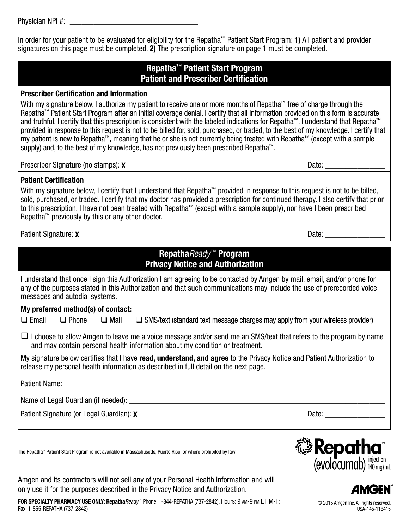Physician NPI #:

In order for your patient to be evaluated for eligibility for the Repatha™ Patient Start Program: 1) All patient and provider signatures on this page must be completed. 2) The prescription signature on page 1 must be completed.

## Repatha™ Patient Start Program Patient and Prescriber Certification

#### Prescriber Certification and Information

With my signature below, I authorize my patient to receive one or more months of Repatha™ free of charge through the Repatha™ Patient Start Program after an initial coverage denial. I certify that all information provided on this form is accurate and truthful. I certify that this prescription is consistent with the labeled indications for Repatha™. I understand that Repatha™ provided in response to this request is not to be billed for, sold, purchased, or traded, to the best of my knowledge. I certify that my patient is new to Repatha™, meaning that he or she is not currently being treated with Repatha™ (except with a sample supply) and, to the best of my knowledge, has not previously been prescribed Repatha™.

Prescriber Signature (no stamps):  $\chi$  and the stamps of the state of the state of the state of the state of the state of the state of the state of the state of the state of the state of the state of the state of the state

#### Patient Certification

With my signature below, I certify that I understand that Repatha™ provided in response to this request is not to be billed, sold, purchased, or traded. I certify that my doctor has provided a prescription for continued therapy. I also certify that prior to this prescription, I have not been treated with Repatha™ (except with a sample supply), nor have I been prescribed Repatha™ previously by this or any other doctor.

Patient Signature: X \_\_\_\_\_\_\_\_\_\_\_\_\_\_\_\_\_\_\_\_\_\_\_\_\_\_\_\_\_\_\_\_\_\_\_\_\_\_\_\_\_\_\_\_\_\_\_\_\_\_\_\_\_\_\_\_\_\_\_\_\_\_\_\_\_ Date: \_\_\_\_\_\_\_\_\_\_\_\_\_\_\_

| <b>RepathaReady<sup>™</sup> Program</b><br><b>Privacy Notice and Authorization</b>                                                                                                                                                                                                   |  |  |  |  |  |
|--------------------------------------------------------------------------------------------------------------------------------------------------------------------------------------------------------------------------------------------------------------------------------------|--|--|--|--|--|
| I understand that once I sign this Authorization I am agreeing to be contacted by Amgen by mail, email, and/or phone for<br>any of the purposes stated in this Authorization and that such communications may include the use of prerecorded voice<br>messages and autodial systems. |  |  |  |  |  |
| My preferred method(s) of contact:                                                                                                                                                                                                                                                   |  |  |  |  |  |
| $\Box$ Email $\Box$ Phone $\Box$ Mail $\Box$ SMS/text (standard text message charges may apply from your wireless provider)                                                                                                                                                          |  |  |  |  |  |
| I choose to allow Amgen to leave me a voice message and/or send me an SMS/text that refers to the program by name<br>and may contain personal health information about my condition or treatment.                                                                                    |  |  |  |  |  |
| My signature below certifies that I have <b>read, understand, and agree</b> to the Privacy Notice and Patient Authorization to<br>release my personal health information as described in full detail on the next page.                                                               |  |  |  |  |  |
|                                                                                                                                                                                                                                                                                      |  |  |  |  |  |
| Name of Legal Guardian (if needed): _______________________________                                                                                                                                                                                                                  |  |  |  |  |  |
| Date:                                                                                                                                                                                                                                                                                |  |  |  |  |  |
|                                                                                                                                                                                                                                                                                      |  |  |  |  |  |

The Repatha™ Patient Start Program is not available in Massachusetts, Puerto Rico, or where prohibited by law.

Amgen and its contractors will not sell any of your Personal Health Information and will only use it for the purposes described in the Privacy Notice and Authorization.

FOR SPECIALTY PHARMACY USE ONLY: Repatha*Ready*™ Phone: 1-844-REPATHA (737-2842), Hours: 9 am-9 pm ET, M-F; Fax: 1-855-REPATHA (737-2842)





© 2015 Amgen Inc. All rights reserved. USA-145-116415